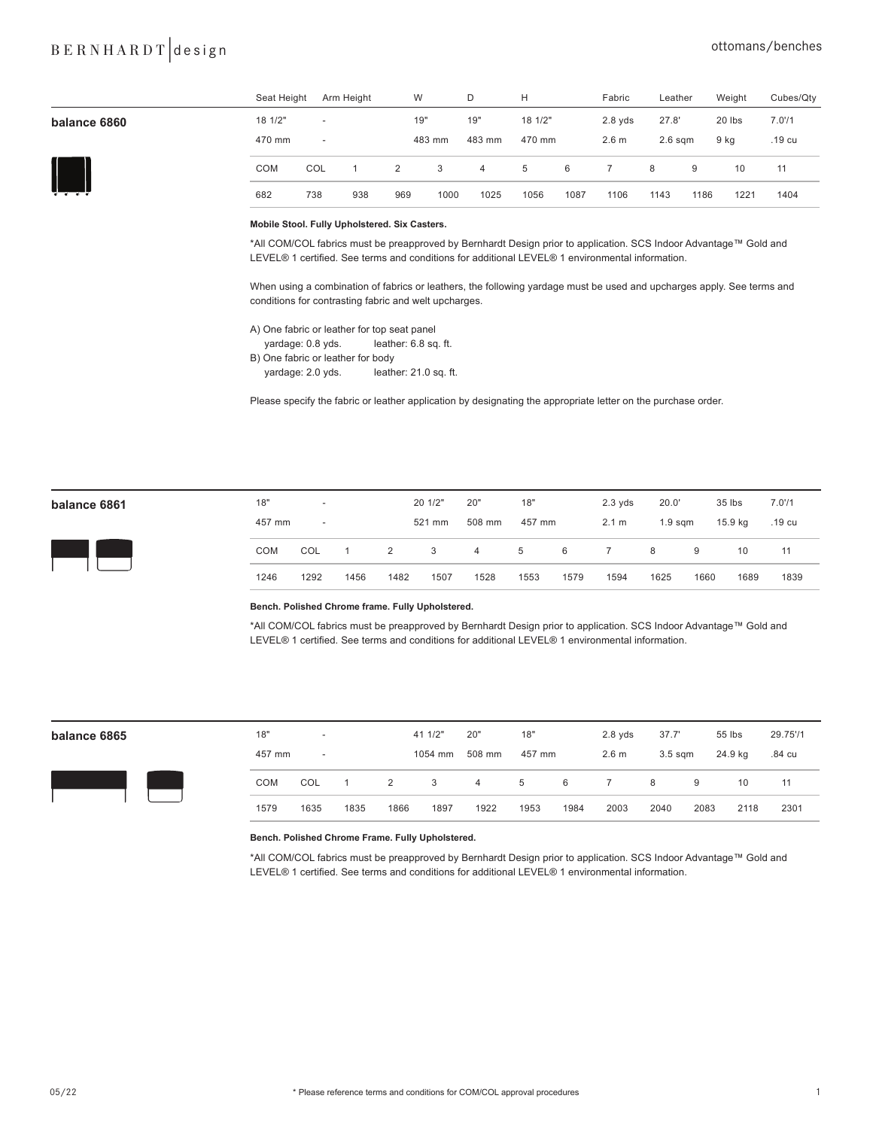## BERNHARDT design cttomans/benches

|              | Seat Height       | Arm Height               | W   |        | D              | н       |      | Fabric           | Leather   |      | Weight | Cubes/Qty |
|--------------|-------------------|--------------------------|-----|--------|----------------|---------|------|------------------|-----------|------|--------|-----------|
| balance 6860 | 18 1/2"           | $\overline{\phantom{a}}$ | 19" |        | 19"            | 18 1/2" |      | $2.8$ yds        | 27.8'     |      | 20 lbs | 7.071     |
|              | 470 mm            | $\overline{\phantom{a}}$ |     | 483 mm | 483 mm         | 470 mm  |      | 2.6 <sub>m</sub> | $2.6$ sqm |      | 9 kg   | .19 cu    |
|              | <b>COM</b><br>COL |                          | 2   | 3      | $\overline{4}$ | 5       | 6    |                  | 8         | 9    | 10     | 11        |
| .            | 682<br>738        | 938                      | 969 | 1000   | 1025           | 1056    | 1087 | 1106             | 1143      | 1186 | 1221   | 1404      |

#### **Mobile Stool. Fully Upholstered. Six Casters.**

\*All COM/COL fabrics must be preapproved by Bernhardt Design prior to application. SCS Indoor Advantage™ Gold and LEVEL® 1 certified. See terms and conditions for additional LEVEL® 1 environmental information.

When using a combination of fabrics or leathers, the following yardage must be used and upcharges apply. See terms and conditions for contrasting fabric and welt upcharges.

A) One fabric or leather for top seat panel

yardage: 0.8 yds. leather: 6.8 sq. ft.

B) One fabric or leather for body

yardage: 2.0 yds. leather: 21.0 sq. ft.

Please specify the fabric or leather application by designating the appropriate letter on the purchase order.

| balance 6861 |  |
|--------------|--|
|--------------|--|



| balance 6861 | 18"        | $\overline{\phantom{a}}$ |                |                | 20 1/2" | 20"            | 18"         |      | $2.3 \text{ vds}$ | 20.0'              |      | 35 lbs  | 7.071  |  |
|--------------|------------|--------------------------|----------------|----------------|---------|----------------|-------------|------|-------------------|--------------------|------|---------|--------|--|
|              | 457 mm     | $\overline{\phantom{a}}$ |                |                | 521 mm  | 508 mm         | 457 mm      |      | 2.1 m             | 1.9 <sub>sgm</sub> |      | 15.9 kg | .19 cu |  |
|              | <b>COM</b> | COL                      | $\overline{1}$ | $\overline{2}$ | 3       | $\overline{4}$ | $5^{\circ}$ | 6    | 7                 | - 8                | 9    | 10      | 11     |  |
|              | 1246       | 1292                     | 1456           | 1482           | 1507    | 1528           | 1553        | 1579 | 1594              | 1625               | 1660 | 1689    | 1839   |  |
|              |            |                          |                |                |         |                |             |      |                   |                    |      |         |        |  |

**Bench. Polished Chrome frame. Fully Upholstered.**

\*All COM/COL fabrics must be preapproved by Bernhardt Design prior to application. SCS Indoor Advantage™ Gold and LEVEL® 1 certified. See terms and conditions for additional LEVEL® 1 environmental information.



| balance 6865 | 18"        | $\overline{\phantom{a}}$ |      |      | 41 1/2" | 20"            | 18"    |      | $2.8$ yds        | 37.7'     |      | 55 lbs  | 29.75'/1 |  |
|--------------|------------|--------------------------|------|------|---------|----------------|--------|------|------------------|-----------|------|---------|----------|--|
|              | 457 mm     | $\overline{\phantom{a}}$ |      |      | 1054 mm | 508 mm         | 457 mm |      | 2.6 <sub>m</sub> | $3.5$ sqm |      | 24.9 kg | .84 cu   |  |
|              | <b>COM</b> | COL                      |      | 2    | 3       | $\overline{4}$ | 5      | 6    |                  | 8         | 9    | 10      | 11       |  |
|              | 1579       | 1635                     | 1835 | 1866 | 1897    | 1922           | 1953   | 1984 | 2003             | 2040      | 2083 | 2118    | 2301     |  |

#### **Bench. Polished Chrome Frame. Fully Upholstered.**

\*All COM/COL fabrics must be preapproved by Bernhardt Design prior to application. SCS Indoor Advantage™ Gold and LEVEL® 1 certified. See terms and conditions for additional LEVEL® 1 environmental information.